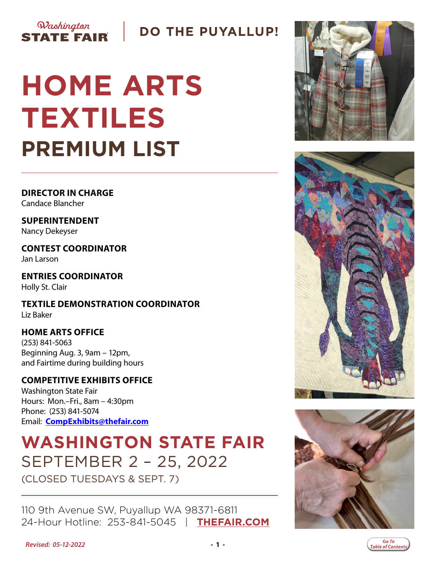## **DO THE PUYALLUP!**

# **HOME ARTS TEXTILES PREMIUM LIST**

**DIRECTOR IN CHARGE** Candace Blancher

Washington

**STATE FAIR** 

**SUPERINTENDENT** Nancy Dekeyser

**CONTEST COORDINATOR** Jan Larson

**ENTRIES COORDINATOR** Holly St. Clair

**TEXTILE DEMONSTRATION COORDINATOR** Liz Baker

### **HOME ARTS OFFICE**

(253) 841-5063 Beginning Aug. 3, 9am – 12pm, and Fairtime during building hours

### **COMPETITIVE EXHIBITS OFFICE**

Washington State Fair Hours: Mon.–Fri., 8am – 4:30pm Phone: (253) 841-5074 Email: **[CompExhibits@thefair.com](mailto:CompExhibits%40thefair.com?subject=Home%20Arts%20)**

# **WASHINGTON STATE FAIR** SEPTEMBER 2 – 25, 2022

(CLOSED TUESDAYS & SEPT. 7)

110 9th Avenue SW, Puyallup WA 98371-6811 24-Hour Hotline: 253-841-5045 | **[THEFAIR.COM](http://www.thefair.com)**







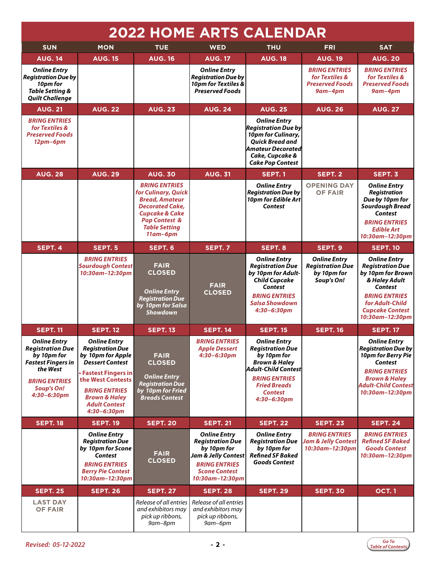<span id="page-1-0"></span>

| <b>2022 HOME ARTS CALENDAR</b>                                                                                                                                     |                                                                                                                                                                                                                                                 |                                                                                                                                                                                                |                                                                                                                                                         |                                                                                                                                                                                                  |                                                                             |                                                                                                                                                                                                           |
|--------------------------------------------------------------------------------------------------------------------------------------------------------------------|-------------------------------------------------------------------------------------------------------------------------------------------------------------------------------------------------------------------------------------------------|------------------------------------------------------------------------------------------------------------------------------------------------------------------------------------------------|---------------------------------------------------------------------------------------------------------------------------------------------------------|--------------------------------------------------------------------------------------------------------------------------------------------------------------------------------------------------|-----------------------------------------------------------------------------|-----------------------------------------------------------------------------------------------------------------------------------------------------------------------------------------------------------|
| <b>SUN</b>                                                                                                                                                         | <b>MON</b>                                                                                                                                                                                                                                      | <b>TUE</b>                                                                                                                                                                                     | <b>WED</b>                                                                                                                                              | <b>THU</b>                                                                                                                                                                                       | <b>FRI</b>                                                                  | <b>SAT</b>                                                                                                                                                                                                |
| <b>AUG. 14</b>                                                                                                                                                     | <b>AUG. 15</b>                                                                                                                                                                                                                                  | <b>AUG. 16</b>                                                                                                                                                                                 | <b>AUG. 17</b>                                                                                                                                          | <b>AUG. 18</b>                                                                                                                                                                                   | <b>AUG. 19</b>                                                              | <b>AUG. 20</b>                                                                                                                                                                                            |
| <b>Online Entry</b><br><b>Registration Due by</b><br>10pm for<br>Table Setting &<br><b>Quilt Challenge</b>                                                         |                                                                                                                                                                                                                                                 |                                                                                                                                                                                                | <b>Online Entry</b><br><b>Registration Due by</b><br>10pm for Textiles &<br><b>Preserved Foods</b>                                                      |                                                                                                                                                                                                  | <b>BRING ENTRIES</b><br>for Textiles &<br><b>Preserved Foods</b><br>9am-4pm | <b>BRING ENTRIES</b><br>for Textiles &<br><b>Preserved Foods</b><br>$9$ am-4pm                                                                                                                            |
| <b>AUG. 21</b>                                                                                                                                                     | <b>AUG. 22</b>                                                                                                                                                                                                                                  | <b>AUG. 23</b>                                                                                                                                                                                 | <b>AUG. 24</b>                                                                                                                                          | <b>AUG. 25</b>                                                                                                                                                                                   | <b>AUG. 26</b>                                                              | <b>AUG. 27</b>                                                                                                                                                                                            |
| <b>BRING ENTRIES</b><br>for Textiles &<br><b>Preserved Foods</b><br>$12pm-6pm$                                                                                     |                                                                                                                                                                                                                                                 |                                                                                                                                                                                                |                                                                                                                                                         | <b>Online Entry</b><br><b>Registration Due by</b><br>10pm for Culinary,<br><b>Ouick Bread and</b><br>Amateur Decorated<br>Cake, Cupcake &<br><b>Cake Pop Contest</b>                             |                                                                             |                                                                                                                                                                                                           |
| <b>AUG. 28</b>                                                                                                                                                     | <b>AUG. 29</b>                                                                                                                                                                                                                                  | <b>AUG. 30</b>                                                                                                                                                                                 | <b>AUG. 31</b>                                                                                                                                          | SEPT. 1                                                                                                                                                                                          | SEPT. 2                                                                     | SEPT. 3                                                                                                                                                                                                   |
|                                                                                                                                                                    |                                                                                                                                                                                                                                                 | <b>BRING ENTRIES</b><br>for Culinary, Quick<br><b>Bread, Amateur</b><br><b>Decorated Cake.</b><br><b>Cupcake &amp; Cake</b><br><b>Pop Contest &amp;</b><br><b>Table Setting</b><br>$11$ am-6pm |                                                                                                                                                         | <b>Online Entry</b><br><b>Registration Due by</b><br>10pm for Edible Art<br>Contest                                                                                                              | <b>OPENING DAY</b><br><b>OF FAIR</b>                                        | <b>Online Entry</b><br><b>Registration</b><br>Due by 10pm for<br><b>Sourdough Bread</b><br>Contest<br><b>BRING ENTRIES</b><br><b>Edible Art</b><br>10:30am-12:30pm                                        |
| SEPT. 4                                                                                                                                                            | SEPT. 5                                                                                                                                                                                                                                         | SEPT. 6                                                                                                                                                                                        | SEPT. 7                                                                                                                                                 | SEPT. 8                                                                                                                                                                                          | SEPT. 9                                                                     | <b>SEPT. 10</b>                                                                                                                                                                                           |
|                                                                                                                                                                    | <b>BRING ENTRIES</b><br><b>Sourdough Contest</b><br>10:30am-12:30pm                                                                                                                                                                             | <b>FAIR</b><br><b>CLOSED</b><br><b>Online Entry</b><br><b>Registration Due</b><br>by 10pm for Salsa<br><b>Showdown</b>                                                                         | <b>FAIR</b><br><b>CLOSED</b>                                                                                                                            | <b>Online Entry</b><br><b>Registration Due</b><br>by 10pm for Adult-<br><b>Child Cupcake</b><br>Contest<br><b>BRING ENTRIES</b><br><b>Salsa Showdown</b><br>$4:30 - 6:30$ pm                     | <b>Online Entry</b><br><b>Registration Due</b><br>by 10pm for<br>Soup's On! | <b>Online Entry</b><br><b>Registration Due</b><br>by 10pm for Brown<br>& Haley Adult<br>Contest<br><b>BRING ENTRIES</b><br>for Adult-Child<br><b>Cupcake Contest</b><br>10:30am-12:30pm                   |
| <b>SEPT. 11</b>                                                                                                                                                    | <b>SEPT. 12</b>                                                                                                                                                                                                                                 | <b>SEPT. 13</b>                                                                                                                                                                                | <b>SEPT. 14</b>                                                                                                                                         | <b>SEPT. 15</b>                                                                                                                                                                                  | <b>SEPT. 16</b>                                                             | <b>SEPT. 17</b>                                                                                                                                                                                           |
| <b>Online Entry</b><br><b>Registration Due</b><br>by 10pm for<br><b>Fastest Fingers in</b><br>the West<br><b>BRING ENTRIES</b><br><b>Soup's On!</b><br>4:30-6:30pm | <b>Online Entry</b><br><b>Registration Due</b><br>by 10pm for Apple<br><b>Dessert Contest</b><br><b>Fastest Fingers in</b><br>the West Contests<br><b>BRING ENTRIES</b><br><b>Brown &amp; Haley</b><br><b>Adult Contest</b><br>$4:30 - 6:30$ pm | <b>FAIR</b><br><b>CLOSED</b><br><b>Online Entry</b><br><b>Registration Due</b><br>by 10pm for Fried<br><b>Breads Contest</b>                                                                   | <b>BRING ENTRIES</b><br><b>Apple Dessert</b><br>$4:30 - 6:30$ pm                                                                                        | <b>Online Entry</b><br><b>Registration Due</b><br>by 10pm for<br><b>Brown &amp; Haley</b><br>Adult-Child Contest<br><b>BRING ENTRIES</b><br><b>Fried Breads</b><br><b>Contest</b><br>4:30-6:30pm |                                                                             | <b>Online Entry</b><br>$ \mathit{Region}$ Due by $ \mathit{Region}$<br>10pm for Berry Pie<br>Contest<br><b>BRING ENTRIES</b><br><b>Brown &amp; Haley</b><br><b>Adult-Child Contest</b><br>10:30am-12:30pm |
| <b>SEPT. 18</b>                                                                                                                                                    | <b>SEPT. 19</b>                                                                                                                                                                                                                                 | <b>SEPT. 20</b>                                                                                                                                                                                | <b>SEPT. 21</b>                                                                                                                                         | <b>SEPT. 22</b>                                                                                                                                                                                  | <b>SEPT. 23</b>                                                             | <b>SEPT. 24</b>                                                                                                                                                                                           |
|                                                                                                                                                                    | <b>Online Entry</b><br><b>Registration Due</b><br>by 10pm for Scone<br><b>Contest</b><br><b>BRING ENTRIES</b><br><b>Berry Pie Contest</b><br>10:30am-12:30pm                                                                                    | <b>FAIR</b><br><b>CLOSED</b>                                                                                                                                                                   | <b>Online Entry</b><br><b>Registration Due</b><br>by 10pm for<br>Jam & Jelly Contest<br><b>BRING ENTRIES</b><br><b>Scone Contest</b><br>10:30am-12:30pm | <b>Online Entry</b><br><b>Registration Due</b><br>by 10pm for<br><b>Refined SF Baked</b><br><b>Goods Contest</b>                                                                                 | <b>BRING ENTRIES</b><br><b>Jam &amp; Jelly Contest</b><br>10:30am-12:30pm   | <b>BRING ENTRIES</b><br><b>Refined SF Baked</b><br><b>Goods Contest</b><br>10:30am-12:30pm                                                                                                                |
| <b>SEPT. 25</b>                                                                                                                                                    | <b>SEPT. 26</b>                                                                                                                                                                                                                                 | <b>SEPT. 27</b>                                                                                                                                                                                | <b>SEPT. 28</b>                                                                                                                                         | <b>SEPT. 29</b>                                                                                                                                                                                  | <b>SEPT. 30</b>                                                             | <b>OCT.1</b>                                                                                                                                                                                              |
| <b>LAST DAY</b><br><b>OF FAIR</b>                                                                                                                                  |                                                                                                                                                                                                                                                 | Release of all entries<br>and exhibitors may<br>pick up ribbons,<br>9am-8pm                                                                                                                    | Release of all entries<br>and exhibitors may<br>pick up ribbons,<br>9ат-6рт                                                                             |                                                                                                                                                                                                  |                                                                             |                                                                                                                                                                                                           |

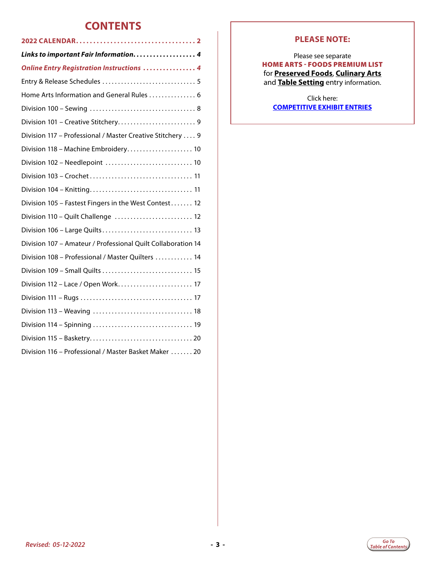### **CONTENTS**

| Links to important Fair Information. 4                       |
|--------------------------------------------------------------|
| <b>Online Entry Registration Instructions  4</b>             |
|                                                              |
| Home Arts Information and General Rules  6                   |
|                                                              |
|                                                              |
| Division 117 - Professional / Master Creative Stitchery  9   |
| Division 118 - Machine Embroidery 10                         |
| Division 102 - Needlepoint  10                               |
|                                                              |
|                                                              |
| Division 105 - Fastest Fingers in the West Contest 12        |
| Division 110 - Quilt Challenge  12                           |
| Division 106 - Large Quilts 13                               |
| Division 107 - Amateur / Professional Quilt Collaboration 14 |
| Division 108 - Professional / Master Quilters  14            |
|                                                              |
| Division 112 - Lace / Open Work 17                           |
|                                                              |
|                                                              |
|                                                              |
|                                                              |
| Division 116 - Professional / Master Basket Maker  20        |

#### **PLEASE NOTE:**

Please see separate HOME ARTS - FOODS PREMIUM LIST for **Preserved Foods**, **Culinary Arts** and **Table Setting** entry information.

Click here: **[COMPETITIVE EXHIBIT ENTRIES](http://www.thefair.com/participate/exhibit-entries)**

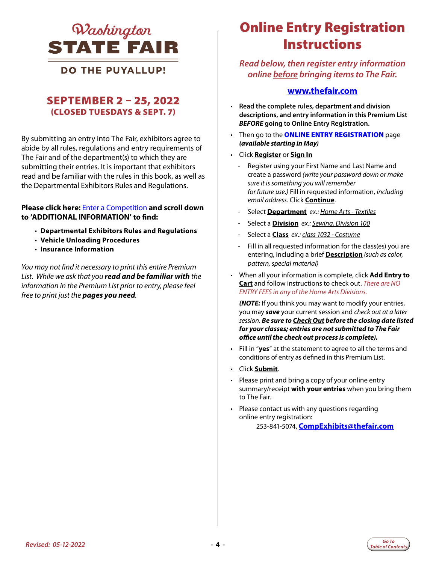<span id="page-3-0"></span>

**DO THE PUYALLUP!** 

### SEPTEMBER 2 – 25, 2022 (CLOSED TUESDAYS & SEPT. 7)

By submitting an entry into The Fair, exhibitors agree to abide by all rules, regulations and entry requirements of The Fair and of the department(s) to which they are submitting their entries. It is important that exhibitors read and be familiar with the rules in this book, as well as the Departmental Exhibitors Rules and Regulations.

#### **Please click here:** [Enter a Competition](https://www.thefair.com/get-involved/competitive-exhibits/) **and scroll down to 'ADDITIONAL INFORMATION' to find:**

- **Departmental Exhibitors Rules and Regulations**
- **Vehicle Unloading Procedures**
- **Insurance Information**

*You may not find it necessary to print this entire Premium List. While we ask that you read and be familiar with the information in the Premium List prior to entry, please feel free to print just the pages you need.* 

## Online Entry Registration *LINKS TO IMPORTANT FAIR INFORMATION ONLINE ENTRY REGISTRATION*  **Instructions**

*Read below, then register entry information online before bringing items to The Fair.* 

#### **<www.thefair.com>**

- **Read the complete rules, department and division descriptions, and entry information in this Premium List**  *BEFORE* **going to Online Entry Registration.**
- Then go to the **[ONLINE ENTRY REGISTRATION](https://wwf.fairwire.com)** page *(available starting in May)*
- Click **Register** or **Sign In**
	- Register using your First Name and Last Name and create a password *(write your password down or make sure it is something you will remember for future use.)* Fill in requested information, *including email address*. Click **Continue**.
	- Select **Department** *ex.: Home Arts Textiles*
	- Select a **Division** *ex.: Sewing, Division 100*
	- Select a **Class** *ex.: class 1032 Costume*
	- Fill in all requested information for the class(es) you are entering, including a brief **Description** *(such as color, pattern, special material)*
- When all your information is complete, click **Add Entry to Cart** and follow instructions to check out. *There are NO ENTRY FEES in any of the Home Arts Divisions.*

*(NOTE:* If you think you may want to modify your entries, you may *save* your current session and *check out at a later session*. *Be sure to Check Out before the closing date listed for your classes; entries are not submitted to The Fair office until the check out process is complete).*

- Fill in "**yes**" at the statement to agree to all the terms and conditions of entry as defined in this Premium List.
- Click **Submit**.
- Please print and bring a copy of your online entry summary/receipt **with your entries** when you bring them to The Fair.
- Please contact us with any questions regarding online entry registration: 253-841-5074, **CompExhibits@thefair.com**

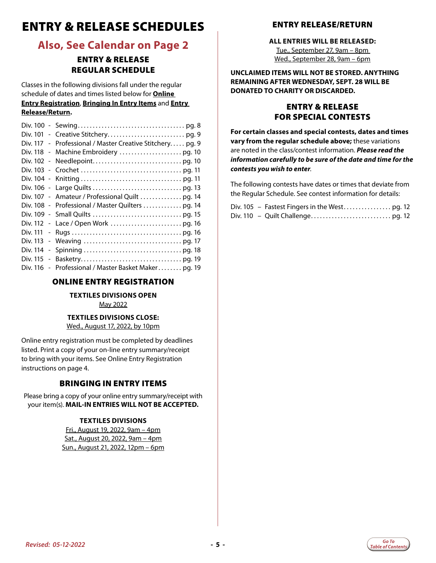### <span id="page-4-0"></span>ENTRY & RELEASE SCHEDULES

### **Also, See Calendar on Page 2**

#### ENTRY & RELEASE REGULAR SCHEDULE

Classes in the following divisions fall under the regular schedule of dates and times listed below for **Online Entry Registration**, **Bringing In Entry Items** and **Entry Release/Return.**

| Div. 117 - Professional / Master Creative Stitchery pg. 9 |
|-----------------------------------------------------------|
|                                                           |
|                                                           |
|                                                           |
|                                                           |
|                                                           |
| Div. 107 - Amateur / Professional Quilt  pg. 14           |
| Div. 108 - Professional / Master Quilters  pg. 14         |
|                                                           |
|                                                           |
|                                                           |
|                                                           |
|                                                           |
|                                                           |
| Div. 116 - Professional / Master Basket Maker pg. 19      |

#### ONLINE ENTRY REGISTRATION

#### **TEXTILES DIVISIONS OPEN** May 2022

#### **TEXTILES DIVISIONS CLOSE:** Wed., August 17, 2022, by 10pm

Online entry registration must be completed by deadlines listed. Print a copy of your on-line entry summary/receipt to bring with your items. See Online Entry Registration instructions on page 4.

#### BRINGING IN ENTRY ITEMS

Please bring a copy of your online entry summary/receipt with your item(s). **MAIL-IN ENTRIES WILL NOT BE ACCEPTED.**

#### **TEXTILES DIVISIONS**

Fri., August 19, 2022, 9am – 4pm Sat., August 20, 2022, 9am – 4pm Sun., August 21, 2022, 12pm – 6pm

#### ENTRY RELEASE/RETURN

#### **ALL ENTRIES WILL BE RELEASED:**

Tue., September 27, 9am – 8pm Wed., September 28, 9am – 6pm

**UNCLAIMED ITEMS WILL NOT BE STORED. ANYTHING REMAINING AFTER WEDNESDAY, SEPT. 28 WILL BE DONATED TO CHARITY OR DISCARDED.** 

#### ENTRY & RELEASE FOR SPECIAL CONTESTS

**For certain classes and special contests, dates and times vary from the regular schedule above;** these variations are noted in the class/contest information. *Please read the information carefully to be sure of the date and time for the contests you wish to enter*.

The following contests have dates or times that deviate from the Regular Schedule. See contest information for details:

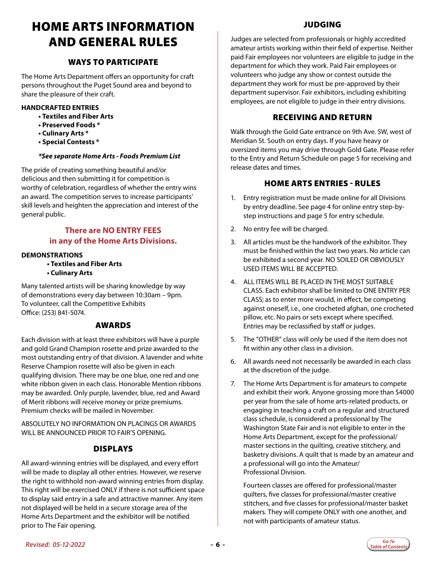### <span id="page-5-0"></span>HOME ARTS INFORMATION AND GENERAL RULES

#### WAYS TO PARTICIPATE

The Home Arts Department offers an opportunity for craft persons throughout the Puget Sound area and beyond to share the pleasure of their craft.

#### **HANDCRAFTED ENTRIES**

- **Textiles and Fiber Arts**
- **Preserved Foods \***
- **Culinary Arts \***
- **Special Contests \***

#### *\*See separate Home Arts - Foods Premium List*

The pride of creating something beautiful and/or delicious and then submitting it for competition is worthy of celebration, regardless of whether the entry wins an award. The competition serves to increase participants' skill levels and heighten the appreciation and interest of the general public.

#### **There are NO ENTRY FEES in any of the Home Arts Divisions.**

#### **DEMONSTRATIONS**

- **Textiles and Fiber Arts**
- **Culinary Arts**

Many talented artists will be sharing knowledge by way of demonstrations every day between 10:30am – 9pm. To volunteer, call the Competitive Exhibits Office: (253) 841-5074.

#### AWARDS

Each division with at least three exhibitors will have a purple and gold Grand Champion rosette and prize awarded to the most outstanding entry of that division. A lavender and white Reserve Champion rosette will also be given in each qualifying division. There may be one blue, one red and one white ribbon given in each class. Honorable Mention ribbons may be awarded. Only purple, lavender, blue, red and Award of Merit ribbons will receive money or prize premiums. Premium checks will be mailed in November.

ABSOLUTELY NO INFORMATION ON PLACINGS OR AWARDS WILL BE ANNOUNCED PRIOR TO FAIR'S OPENING.

#### DISPLAYS

All award-winning entries will be displayed, and every effort will be made to display all other entries. However, we reserve the right to withhold non-award winning entries from display. This right will be exercised ONLY if there is not sufficient space to display said entry in a safe and attractive manner. Any item not displayed will be held in a secure storage area of the Home Arts Department and the exhibitor will be notified prior to The Fair opening.

#### JUDGING

Judges are selected from professionals or highly accredited amateur artists working within their field of expertise. Neither paid Fair employees nor volunteers are eligible to judge in the department for which they work. Paid Fair employees or volunteers who judge any show or contest outside the department they work for must be pre-approved by their department supervisor. Fair exhibitors, including exhibiting employees, are not eligible to judge in their entry divisions.

#### RECEIVING AND RETURN

Walk through the Gold Gate entrance on 9th Ave. SW, west of Meridian St. South on entry days. If you have heavy or oversized items you may drive through Gold Gate. Please refer to the Entry and Return Schedule on page 5 for receiving and release dates and times.

#### HOME ARTS ENTRIES - RULES

- 1. Entry registration must be made online for all Divisions by entry deadline. See page 4 for online entry step-bystep instructions and page 5 for entry schedule.
- 2. No entry fee will be charged.
- 3. All articles must be the handwork of the exhibitor. They must be finished within the last two years. No article can be exhibited a second year. NO SOILED OR OBVIOUSLY USED ITEMS WILL BE ACCEPTED.
- 4. ALL ITEMS WILL BE PLACED IN THE MOST SUITABLE CLASS. Each exhibitor shall be limited to ONE ENTRY PER CLASS; as to enter more would, in effect, be competing against oneself, i.e., one crocheted afghan, one crocheted pillow, etc. No pairs or sets except where specified. Entries may be reclassified by staff or judges.
- 5. The "OTHER" class will only be used if the item does not fit within any other class in a division.
- 6. All awards need not necessarily be awarded in each class at the discretion of the judge.
- 7. The Home Arts Department is for amateurs to compete and exhibit their work. Anyone grossing more than \$4000 per year from the sale of home arts-related products, or engaging in teaching a craft on a regular and structured class schedule, is considered a professional by The Washington State Fair and is not eligible to enter in the Home Arts Department, except for the professional/ master sections in the quilting, creative stitchery, and basketry divisions. A quilt that is made by an amateur and a professional will go into the Amateur/ Professional Division.

Fourteen classes are offered for professional/master quilters, five classes for professional/master creative stitchers, and five classes for professional/master basket makers. They will compete ONLY with one another, and not with participants of amateur status.

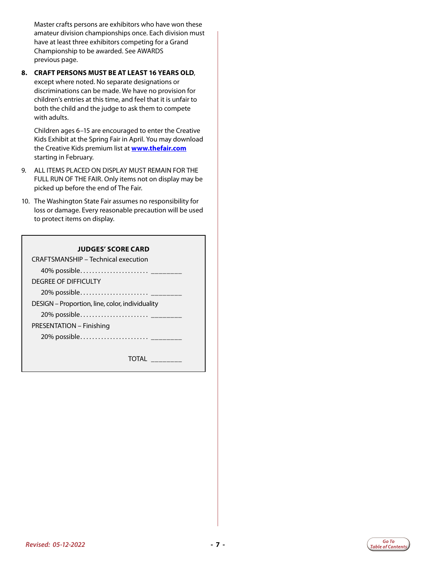Master crafts persons are exhibitors who have won these amateur division championships once. Each division must have at least three exhibitors competing for a Grand Championship to be awarded. See AWARDS previous page.

#### **8. CRAFT PERSONS MUST BE AT LEAST 16 YEARS OLD**, except where noted. No separate designations or discriminations can be made. We have no provision for children's entries at this time, and feel that it is unfair to both the child and the judge to ask them to compete with adults.

Children ages 6–15 are encouraged to enter the Creative Kids Exhibit at the Spring Fair in April. You may download the Creative Kids premium list at **[www.thefair.com](http://www.thefair.com)** starting in February.

- 9. ALL ITEMS PLACED ON DISPLAY MUST REMAIN FOR THE FULL RUN OF THE FAIR. Only items not on display may be picked up before the end of The Fair.
- 10. The Washington State Fair assumes no responsibility for loss or damage. Every reasonable precaution will be used to protect items on display.

#### **JUDGES' SCORE CARD**

CRAFTSMANSHIP – Technical execution 40% possible. . \_\_\_\_\_\_\_\_ DEGREE OF DIFFICULTY 20% possible. . \_\_\_\_\_\_\_\_ DESIGN – Proportion, line, color, individuality 20% possible. . \_\_\_\_\_\_\_\_ PRESENTATION – Finishing 20% possible...........................<sub>\_\_\_\_\_\_</sub>

TOTAL \_\_\_\_\_\_\_\_

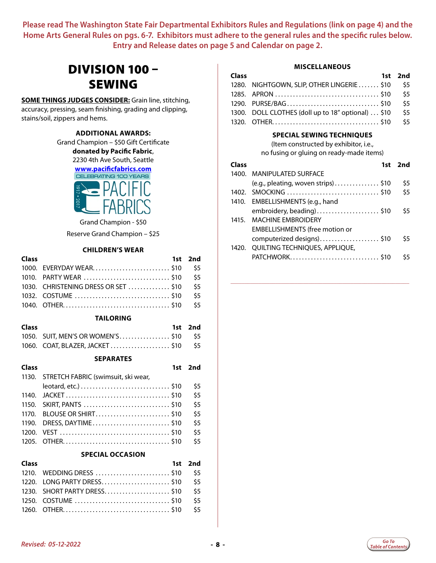### <span id="page-7-0"></span>DIVISION 100 – SEWING

**SOME THINGS JUDGES CONSIDER:** Grain line, stitching, accuracy, pressing, seam finishing, grading and clipping, stains/soil, zippers and hems.

#### **ADDITIONAL AWARDS:**

Grand Champion – \$50 Gift Certificate

**donated by Pacific Fabric**,

2230 4th Ave South, Seattle

**[www.pacificfabrics.com](http://www.pacificfabrics.com)**



Grand Champion - \$50

Reserve Grand Champion – \$25

#### **CHILDREN'S WEAR**

| <b>Class</b> |                                         | 1st 2nd |
|--------------|-----------------------------------------|---------|
|              | 1000. EVERYDAY WEAR \$10 \$5            |         |
|              |                                         |         |
|              | 1030. CHRISTENING DRESS OR SET \$10 \$5 |         |
|              |                                         |         |
|              |                                         |         |
|              |                                         |         |

#### **TAILORING**

| <b>Class</b> |                                       | 1st 2nd |
|--------------|---------------------------------------|---------|
|              | 1050. SUIT, MEN'S OR WOMEN'S \$10 \$5 |         |
|              | 1060. COAT, BLAZER, JACKET\$10 \$5    |         |

#### **SEPARATES**

| Class |                                           | 1st 2nd |
|-------|-------------------------------------------|---------|
|       | 1130. STRETCH FABRIC (swimsuit, ski wear, |         |
|       |                                           | \$5     |
|       |                                           | \$5     |
|       |                                           | \$5     |
|       | 1170. BLOUSE OR SHIRT\$10                 | \$5     |
|       | 1190. DRESS, DAYTIME\$10                  | \$5     |
|       |                                           | \$5     |
|       |                                           | \$5     |

#### **SPECIAL OCCASION**

| <b>Class</b> |                                  | 1st 2nd |
|--------------|----------------------------------|---------|
|              |                                  |         |
|              | 1220. LONG PARTY DRESS \$10 \$5  |         |
|              | 1230. SHORT PARTY DRESS \$10 \$5 |         |
|              |                                  |         |
|              |                                  |         |

#### **MISCELLANEOUS**

| Class |                                                    | 1st 2nd |
|-------|----------------------------------------------------|---------|
|       | 1280. NIGHTGOWN, SLIP, OTHER LINGERIE \$10         | \$5     |
|       |                                                    | \$5     |
|       | 1290. PURSE/BAG\$10                                | \$5     |
|       | 1300. DOLL CLOTHES (doll up to 18" optional)  \$10 | \$5     |
|       |                                                    | \$5     |

#### **SPECIAL SEWING TECHNIQUES**

(Item constructed by exhibitor, i.e., no fusing or gluing on ready-made items)

| <b>Class</b> |                                       | 1st 2nd |
|--------------|---------------------------------------|---------|
|              | 1400. MANIPULATED SURFACE             |         |
|              | (e.g., pleating, woven strips)\$10    | \$5     |
|              |                                       | \$5     |
|              | 1410. EMBELLISHMENTS (e.g., hand      |         |
|              | embroidery, beading)\$10              | \$5     |
|              | 1415. MACHINF FMBROIDERY              |         |
|              | <b>EMBELLISHMENTS (free motion or</b> |         |
|              | computerized designs)\$10             | \$5     |
| 1420.        | QUILTING TECHNIQUES, APPLIQUE,        |         |
|              | PATCHWORK\$10                         | \$5     |

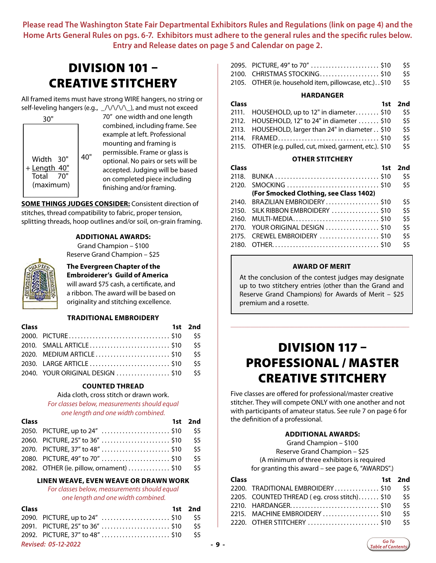### <span id="page-8-0"></span>DIVISION 101 – CREATIVE STITCHERY

All framed items must have strong WIRE hangers, no string or self-leveling hangers (e.g.,  $\angle$ /\/\/\\_), and must not exceed



70" one width and one length combined, including frame. See example at left. Professional mounting and framing is permissible. Frame or glass is optional. No pairs or sets will be accepted. Judging will be based on completed piece including finishing and/or framing.

**SOME THINGS JUDGES CONSIDER:** Consistent direction of stitches, thread compatibility to fabric, proper tension, splitting threads, hoop outlines and/or soil, on-grain framing.

#### **ADDITIONAL AWARDS:**

Grand Champion – \$100 Reserve Grand Champion – \$25



#### **The Evergreen Chapter of the Embroiderer's Guild of America** will award \$75 cash, a certificate, and

a ribbon. The award will be based on originality and stitching excellence.

#### **TRADITIONAL EMBROIDERY**

| <b>Class</b> |                                      | 1st 2nd |
|--------------|--------------------------------------|---------|
|              |                                      |         |
|              |                                      |         |
|              | 2020. MEDIUM ARTICLE \$10 \$5        |         |
|              |                                      |         |
|              | 2040. YOUR ORIGINAL DESIGN  \$10 \$5 |         |

#### **COUNTED THREAD**

#### Aida cloth, cross stitch or drawn work.

*For classes below, measurements should equal* 

*one length and one width combined.*

| <b>Class</b> |                                              | 1st 2nd |
|--------------|----------------------------------------------|---------|
|              | 2050. PICTURE, up to 24" \$10 \$5            |         |
|              | 2060. PICTURE, 25" to 36" \$10 \$5           |         |
|              | 2070. PICTURE, 37" to 48"  \$10 \$5          |         |
|              |                                              |         |
|              | 2082. OTHER (ie. pillow, ornament)  \$10 \$5 |         |

#### **LINEN WEAVE, EVEN WEAVE OR DRAWN WORK**

*For classes below, measurements should equal one length and one width combined.*

| <b>Class</b>               |                                | 1st 2nd |     |
|----------------------------|--------------------------------|---------|-----|
|                            |                                | - S.5   |     |
|                            | 2091. PICTURE, 25" to 36" \$10 | -S5.    |     |
|                            |                                | -S.5    |     |
| <b>Revised: 05-12-2022</b> |                                |         | -9- |

| 2095. PICTURE, 49" to 70" \$10 \$5                             |  |
|----------------------------------------------------------------|--|
| 2100. CHRISTMAS STOCKING \$10 \$5                              |  |
| 2105. OTHER (ie. household item, pillowcase, etc.). . \$10 \$5 |  |

#### **HARDANGER**

| <b>Class</b> |                                                  | 1st 2nd |
|--------------|--------------------------------------------------|---------|
|              | 2111. HOUSEHOLD, up to 12" in diameter \$10      | - S5    |
|              | 2112. HOUSEHOLD, 12" to 24" in diameter  \$10    | \$5     |
|              | 2113. HOUSEHOLD, larger than 24" in diameter\$10 | \$5     |
|              | 2114. FRAMED \$10                                | - S5    |

2115. OTHER (e.g. pulled, cut, mixed, garment, etc.).  $$10$   $$5$ 

#### **OTHER STITCHERY**

| Class | 1st                                    | 2nd |
|-------|----------------------------------------|-----|
| 2118. |                                        | \$5 |
|       |                                        | \$5 |
|       | (For Smocked Clothing, see Class 1402) |     |
|       | 2140. BRAZILIAN EMBROIDERY \$10        | \$5 |
|       | 2150. SILK RIBBON EMBROIDERY  \$10     | \$5 |
|       | 2160. MULTI-MEDIA\$10                  | \$5 |
|       | 2170. YOUR ORIGINAL DESIGN  \$10       | \$5 |
|       | 2175. CREWEL EMBROIDERY  \$10          | \$5 |
|       |                                        | \$5 |
|       |                                        |     |

#### **AWARD OF MERIT**

At the conclusion of the contest judges may designate up to two stitchery entries (other than the Grand and Reserve Grand Champions) for Awards of Merit – \$25 premium and a rosette.

\_\_\_\_\_\_\_\_\_\_\_\_\_\_\_\_\_\_\_\_\_\_\_\_\_\_\_\_\_\_\_\_\_\_\_\_\_\_\_\_\_\_\_\_\_\_\_\_\_\_\_\_\_\_\_\_\_\_\_\_\_\_\_\_

### DIVISION 117 – PROFESSIONAL / MASTER CREATIVE STITCHERY

Five classes are offered for professional/master creative stitcher. They will compete ONLY with one another and not with participants of amateur status. See rule 7 on page 6 for the definition of a professional.

#### **ADDITIONAL AWARDS:**

Grand Champion – \$100 Reserve Grand Champion – \$25 (A minimum of three exhibitors is required for granting this award – see page 6, "AWARDS".)

| Class |                                             | 1st 2nd |
|-------|---------------------------------------------|---------|
|       | 2200. TRADITIONAL EMBROIDERY\$10            | - \$5   |
|       | 2205. COUNTED THREAD (eq. cross stitch)\$10 | \$5     |
|       |                                             | \$5     |
|       | 2215. MACHINE EMBROIDERY \$10               | \$5     |
|       |                                             | \$5     |
|       |                                             |         |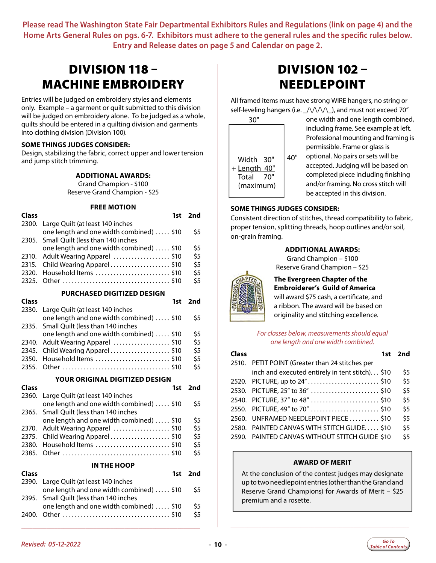### <span id="page-9-0"></span>DIVISION 118 – MACHINE EMBROIDERY

Entries will be judged on embroidery styles and elements only. Example – a garment or quilt submitted to this division will be judged on embroidery alone. To be judged as a whole, quilts should be entered in a quilting division and garments into clothing division (Division 100).

#### **SOME THINGS JUDGES CONSIDER:**

Design, stabilizing the fabric, correct upper and lower tension and jump stitch trimming.

#### **ADDITIONAL AWARDS:**

Grand Champion - \$100 Reserve Grand Champion - \$25

#### **FREE MOTION**

| <b>Class</b> | 1st                                      | 2nd |
|--------------|------------------------------------------|-----|
| 2300.        | Large Quilt (at least 140 inches         |     |
|              | one length and one width combined)  \$10 | \$5 |
| 2305.        | Small Quilt (less than 140 inches        |     |
|              | one length and one width combined)  \$10 | \$5 |
| 2310.        | Adult Wearing Apparel \$10               | \$5 |
| 2315.        | Child Wearing Apparel \$10               | \$5 |
| 2320.        | Household Items \$10                     | \$5 |
| 2325.        |                                          | \$5 |
|              | <b>PURCHASED DIGITIZED DESIGN</b>        |     |
| Class        | 1st                                      | 2nd |
| 2330.        | Large Quilt (at least 140 inches         |     |
|              | one length and one width combined)  \$10 | \$5 |
| 2335.        | Small Quilt (less than 140 inches        |     |
|              | one length and one width combined)  \$10 | \$5 |
| 2340.        | Adult Wearing Apparel \$10               | \$5 |
| 2345.        | Child Wearing Apparel \$10               | \$5 |
| 2350.        | Household Items  \$10                    | \$5 |
| 2355.        |                                          | \$5 |
|              | <b>YOUR ORIGINAL DIGITIZED DESIGN</b>    |     |
| <b>Class</b> | 1st                                      | 2nd |
| 2360.        | Large Quilt (at least 140 inches         |     |
|              | one length and one width combined)  \$10 | \$5 |
| 2365.        | Small Quilt (less than 140 inches        |     |
|              | one length and one width combined)  \$10 | \$5 |
| 2370.        | Adult Wearing Apparel \$10               | \$5 |
| 2375.        | Child Wearing Apparel\$10                | \$5 |
| 2380.        | Household Items \$10                     | \$5 |
| 2385.        |                                          | \$5 |
|              |                                          |     |

#### **IN THE HOOP**

| <b>Class</b> |                                          | 1st 2nd |
|--------------|------------------------------------------|---------|
|              | 2390. Large Quilt (at least 140 inches   |         |
|              | one length and one width combined)  \$10 | \$5     |
|              | 2395. Small Quilt (less than 140 inches  |         |
|              | one length and one width combined)  \$10 | \$5     |
|              |                                          | \$5     |

 $\_$  , and the set of the set of the set of the set of the set of the set of the set of the set of the set of the set of the set of the set of the set of the set of the set of the set of the set of the set of the set of th

### DIVISION 102 – NEEDLEPOINT

All framed items must have strong WIRE hangers, no string or self-leveling hangers (i.e.  $\sqrt{\frac{1}{\sqrt{}}\lambda}$ , and must not exceed 70"



one width and one length combined, including frame. See example at left. Professional mounting and framing is permissible. Frame or glass is optional. No pairs or sets will be

accepted. Judging will be based on completed piece including finishing and/or framing. No cross stitch will be accepted in this division.

#### **SOME THINGS JUDGES CONSIDER:**

Consistent direction of stitches, thread compatibility to fabric, proper tension, splitting threads, hoop outlines and/or soil, on-grain framing.

#### **ADDITIONAL AWARDS:**

Grand Champion – \$100 Reserve Grand Champion – \$25

#### **The Evergreen Chapter of the Embroiderer's Guild of America**

will award \$75 cash, a certificate, and a ribbon. The award will be based on originality and stitching excellence.

*For classes below, measurements should equal one length and one width combined.*

| <b>Class</b> | 1st                                             | 2nd |
|--------------|-------------------------------------------------|-----|
|              | 2510. PETIT POINT (Greater than 24 stitches per |     |
|              | inch and executed entirely in tent stitch) \$10 | \$5 |
|              | 2520. PICTURE, up to 24"\$10                    | \$5 |
|              | 2530. PICTURE, 25" to 36" \$10                  | \$5 |
|              | 2540. PICTURE, 37" to 48" \$10                  | \$5 |
|              | 2550. PICTURE, 49" to 70" \$10                  | \$5 |
|              | 2560. UNFRAMED NEEDLEPOINT PIECE  \$10          | \$5 |
| 2580.        | PAINTED CANVAS WITH STITCH GUIDE \$10           | \$5 |
|              | 2590. PAINTED CANVAS WITHOUT STITCH GUIDE \$10  | \$5 |

#### **AWARD OF MERIT**

At the conclusion of the contest judges may designate up to two needlepoint entries (other than the Grand and Reserve Grand Champions) for Awards of Merit – \$25 premium and a rosette.

 $\_$  , and the set of the set of the set of the set of the set of the set of the set of the set of the set of the set of the set of the set of the set of the set of the set of the set of the set of the set of the set of th

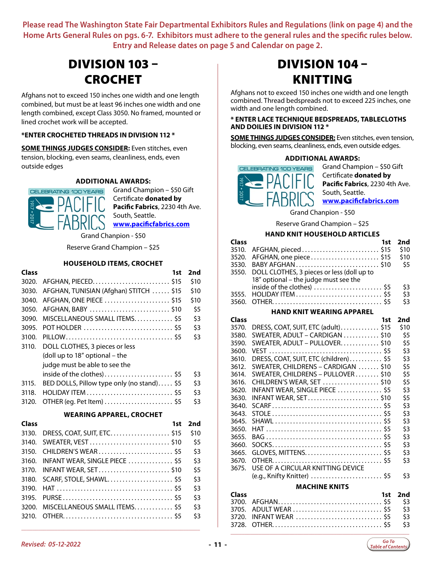### <span id="page-10-0"></span>DIVISION 103 – CROCHET

Afghans not to exceed 150 inches one width and one length combined, but must be at least 96 inches one width and one length combined, except Class 3050. No framed, mounted or lined crochet work will be accepted.

#### **\*ENTER CROCHETED THREADS IN DIVISION 112 \***

**SOME THINGS JUDGES CONSIDER:** Even stitches, even tension, blocking, even seams, cleanliness, ends, even outside edges

#### **ADDITIONAL AWARDS:**



Grand Champion – \$50 Gift Certificate **donated by Pacific Fabrics**, 2230 4th Ave. South, Seattle. **[www.pacificfabrics.com](http://www.pacificfabrics.com)**

Grand Chanpion - \$50

Reserve Grand Champion – \$25

#### **HOUSEHOLD ITEMS, CROCHET**

| Class        | 1st                                        | 2nd  |
|--------------|--------------------------------------------|------|
| 3020.        |                                            | \$10 |
| 3030.        | AFGHAN, TUNISIAN (Afghan) STITCH  \$15     | \$10 |
| 3040.        | AFGHAN, ONE PIECE \$15                     | \$10 |
| 3050.        | AFGHAN, BABY \$10                          | \$5  |
| 3090.        | MISCELLANEOUS SMALL ITEMS\$5               | \$3  |
| 3095.        |                                            | \$3  |
| 3100.        |                                            | \$3  |
| 3110.        | DOLL CLOTHES, 3 pieces or less             |      |
|              | (doll up to 18" optional - the             |      |
|              | judge must be able to see the              |      |
|              | inside of the clothes)\$5                  | \$3  |
| 3115.        | BED DOLLS, Pillow type only (no stand) \$5 | \$3  |
| 3118.        |                                            | \$3  |
| 3120.        | OTHER (eg. Pet Item)  \$5                  | \$3  |
|              | <b>WEARING APPAREL, CROCHET</b>            |      |
| <b>Class</b> | 1st                                        | 2nd  |
| 3130.        | DRESS, COAT, SUIT, ETC\$15                 | \$10 |
| 3140.        | SWEATER, VEST  \$10                        | \$5  |

|                                     | эlU |
|-------------------------------------|-----|
|                                     | \$5 |
| 3150. CHILDREN'S WEAR \$5           | \$3 |
| 3160. INFANT WEAR, SINGLE PIECE \$5 | \$3 |
|                                     | \$5 |
|                                     | \$3 |
|                                     | \$3 |
|                                     | \$3 |
| 3200. MISCELLANEOUS SMALL ITEMS \$5 | \$3 |
|                                     | \$3 |
|                                     |     |

\_\_\_\_\_\_\_\_\_\_\_\_\_\_\_\_\_\_\_\_\_\_\_\_\_\_\_\_\_\_\_\_\_\_\_\_\_\_\_\_\_\_\_\_\_\_\_\_\_\_\_\_\_\_\_\_\_\_\_\_\_\_\_\_

### DIVISION 104 – KNITTING

Afghans not to exceed 150 inches one width and one length combined. Thread bedspreads not to exceed 225 inches, one width and one length combined.

#### **\* ENTER LACE TECHNIQUE BEDSPREADS, TABLECLOTHS AND DOILIES IN DIVISION 112 \***

**SOME THINGS JUDGES CONSIDER:** Even stitches, even tension, blocking, even seams, cleanliness, ends, even outside edges.

#### **ADDITIONAL AWARDS:**



Grand Champion – \$50 Gift Certificate **donated by Pacific Fabrics**, 2230 4th Ave. South, Seattle. **[www.pacificfabrics.com](http://www.pacificfabrics.com)**

Grand Chanpion - \$50

Reserve Grand Champion – \$25

#### **HAND KNIT HOUSEHOLD ARTICLES**

| <b>Class</b> |                                                  | 1st 2nd |
|--------------|--------------------------------------------------|---------|
|              | 3510. AFGHAN, pieced \$15                        | \$10    |
|              | 3520. AFGHAN, one piece\$15                      | \$10    |
|              | 3530. BABY AFGHAN\$10                            | - \$5   |
|              | 3550. DOLL CLOTHES, 3 pieces or less (doll up to |         |
|              | 18" optional - the judge must see the            |         |
|              | inside of the clothes)  \$5                      | \$3     |
|              |                                                  | \$3     |
|              |                                                  | \$3     |

#### **HAND KNIT WEARING APPAREL**

| <b>Class</b> | 1st                                   | 2nd  |
|--------------|---------------------------------------|------|
| 3570.        | DRESS, COAT, SUIT, ETC (adult)\$15    | \$10 |
| 3580.        | SWEATER, ADULT - CARDIGAN  \$10       | \$5  |
| 3590.        | SWEATER, ADULT – PULLOVER\$10         | \$5  |
| 3600.        |                                       | \$3  |
| 3610.        | DRESS, COAT, SUIT, ETC (children) \$5 | \$3  |
| 3612.        | SWEATER, CHILDRENS - CARDIGAN  \$10   | \$5  |
| 3614.        | SWEATER, CHILDRENS - PULLOVER \$10    | \$5  |
| 3616.        | CHILDREN'S WEAR, SET \$10             | \$5  |
| 3620.        | INFANT WEAR, SINGLE PIECE \$5         | \$3  |
| 3630.        |                                       | \$5  |
| 3640.        |                                       | \$3  |
| 3643.        |                                       | \$3  |
| 3645.        |                                       | \$3  |
| 3650.        |                                       | \$3  |
| 3655.        |                                       | \$3  |
| 3660.        |                                       | \$3  |
| 3665.        |                                       | \$3  |
| 3670.        |                                       | \$3  |
| 3675.        | USE OF A CIRCULAR KNITTING DEVICE     |      |
|              | (e.g., Knifty Knitter)  \$5           | \$3  |
|              | 88 8 21 11 11 12 13 11 72 2           |      |

#### **MACHINE KNITS**

| <b>Class</b> |                            | 1st 2nd |
|--------------|----------------------------|---------|
|              |                            |         |
|              |                            |         |
|              | 3720. INFANT WEAR  \$5 \$3 |         |
|              |                            |         |
|              |                            |         |

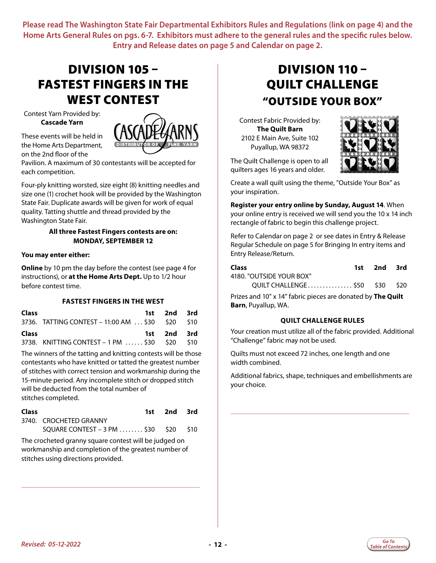### <span id="page-11-0"></span>DIVISION 105 – FASTEST FINGERS IN THE WEST CONTEST

Contest Yarn Provided by: **Cascade Yarn**

These events will be held in the Home Arts Department, on the 2nd floor of the



Pavilion. A maximum of 30 contestants will be accepted for each competition.

Four-ply knitting worsted, size eight (8) knitting needles and size one (1) crochet hook will be provided by the Washington State Fair. Duplicate awards will be given for work of equal quality. Tatting shuttle and thread provided by the Washington State Fair.

#### **All three Fastest Fingers contests are on: MONDAY, SEPTEMBER 12**

#### **You may enter either:**

**Online** by 10 pm the day before the contest (see page 4 for instructions), or **at the Home Arts Dept.** Up to 1/2 hour before contest time.

#### **FASTEST FINGERS IN THE WEST**

| <b>Class</b> |                                                  | 1st 2nd 3rd |  |
|--------------|--------------------------------------------------|-------------|--|
|              | 3736. TATTING CONTEST – 11:00 AM  \$30 \$20 \$10 |             |  |
|              |                                                  |             |  |
| Class        |                                                  | 1st 2nd 3rd |  |

The winners of the tatting and knitting contests will be those contestants who have knitted or tatted the greatest number of stitches with correct tension and workmanship during the 15-minute period. Any incomplete stitch or dropped stitch will be deducted from the total number of stitches completed.

| Class |                                                                                    | 1st 2nd 3rd |  |
|-------|------------------------------------------------------------------------------------|-------------|--|
|       | 3740. CROCHETED GRANNY                                                             |             |  |
|       | SQUARE CONTEST - 3 PM $\ldots$ $\ldots$ \$30 $\phantom{0}$ \$20 $\phantom{0}$ \$10 |             |  |

The crocheted granny square contest will be judged on workmanship and completion of the greatest number of stitches using directions provided.

\_\_\_\_\_\_\_\_\_\_\_\_\_\_\_\_\_\_\_\_\_\_\_\_\_\_\_\_\_\_\_\_\_\_\_\_\_\_\_\_\_\_\_\_\_\_\_\_\_\_\_\_\_\_\_\_\_\_\_\_\_\_\_\_

### DIVISION 110 – QUILT CHALLENGE "OUTSIDE YOUR BOX"

Contest Fabric Provided by: **The Quilt Barn** 2102 E Main Ave, Suite 102 Puyallup, WA 98372



The Quilt Challenge is open to all quilters ages 16 years and older.

Create a wall quilt using the theme, "Outside Your Box" as your inspiration.

**Register your entry online by Sunday, August 14**. When your online entry is received we will send you the 10 x 14 inch rectangle of fabric to begin this challenge project.

Refer to Calendar on page 2 or see dates in Entry & Release Regular Schedule on page 5 for Bringing In entry items and Entry Release/Return.

| Class                         | 1st 2nd 3rd |  |
|-------------------------------|-------------|--|
| 4180. "OUTSIDE YOUR BOX"      |             |  |
| QUILT CHALLENGE\$50 \$30 \$20 |             |  |

Prizes and 10" x 14" fabric pieces are donated by **The Quilt Barn**, Puyallup, WA.

#### **QUILT CHALLENGE RULES**

Your creation must utilize all of the fabric provided. Additional "Challenge" fabric may not be used.

Quilts must not exceed 72 inches, one length and one width combined.

Additional fabrics, shape, techniques and embellishments are your choice.

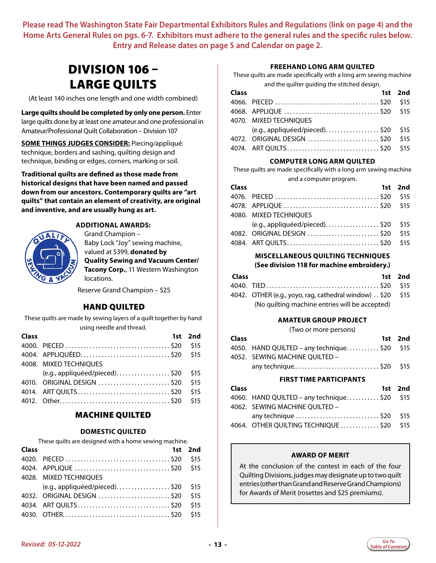### <span id="page-12-0"></span>DIVISION 106 – LARGE QUILTS

(At least 140 inches one length and one width combined)

**Large quilts should be completed by only one person.** Enter large quilts done by at least one amateur and one professional in Amateur/Professional Quilt Collaboration – Division 107

**SOME THINGS JUDGES CONSIDER:** Piecing/appliqué: technique, borders and sashing, quilting design and technique, binding or edges, corners, marking or soil.

**Traditional quilts are defined as those made from historical designs that have been named and passed down from our ancestors. Contemporary quilts are "art quilts" that contain an element of creativity, are original and inventive, and are usually hung as art.**



#### **ADDITIONAL AWARDS:** Grand Champion –

Baby Lock "Joy" sewing machine, valued at \$399, **donated by Quality Sewing and Vacuum Center/ Tacony Corp.**, 11 Western Washington locations.

Reserve Grand Champion – \$25

#### HAND QUILTED

These quilts are made by sewing layers of a quilt together by hand using needle and thread.

| 1st 2nd                              |
|--------------------------------------|
|                                      |
| 4004. APPLIQUÉED\$20 \$15            |
|                                      |
| $(e.g., applied/pieceed).$ \$20 \$15 |
| \$15                                 |
| \$15                                 |
|                                      |
| 4010. ORIGINAL DESIGN \$20           |

#### MACHINE QUILTED

#### **DOMESTIC QUILTED**

These quilts are designed with a home sewing machine.

| Class |                                 | 1st 2nd |
|-------|---------------------------------|---------|
|       |                                 | \$15    |
|       |                                 | \$15    |
|       | 4028. MIXED TECHNIOUES          |         |
|       | $(e.g., applied/pieceed).$ \$20 | \$15    |
|       | 4032. ORIGINAL DESIGN \$20      | \$15    |
|       |                                 | \$15    |
|       |                                 | \$15    |

#### **FREEHAND LONG ARM QUILTED**

These quilts are made specifically with a long arm sewing machine and the quilter guiding the stitched design.

| Class |                                      | 1st 2nd |
|-------|--------------------------------------|---------|
|       |                                      |         |
|       |                                      |         |
|       | 4070. MIXED TECHNIOUES               |         |
|       | $(e.g., applied/pieceed).$ \$20 \$15 |         |
|       | 4072. ORIGINAL DESIGN  \$20 \$15     |         |
|       |                                      |         |

#### **COMPUTER LONG ARM QUILTED**

These quilts are made specifically with a long arm sewing machine and a computer program.

| Class |                                      | 1st 2nd |
|-------|--------------------------------------|---------|
|       |                                      |         |
|       |                                      |         |
|       | 4080. MIXED TECHNIOUES               |         |
|       | $(e.g., applied/pieceed).$ \$20 \$15 |         |
|       | 4082. ORIGINAL DESIGN  \$20 \$15     |         |
|       |                                      |         |

### **MISCELLANEOUS QUILTING TECHNIQUES**

#### **(See division 118 for machine embroidery.)**

| <b>Class</b> |                                                            | 1st 2nd |
|--------------|------------------------------------------------------------|---------|
|              |                                                            |         |
|              | 4042. OTHER (e.g., yoyo, rag, cathedral window). \$20 \$15 |         |
|              | (No quilting machine entries will be accepted)             |         |

#### **AMATEUR GROUP PROJECT**

(Two or more persons)

| <b>Class</b> |                                             | 1st 2nd |
|--------------|---------------------------------------------|---------|
|              | 4050. HAND QUILTED - any technique\$20 \$15 |         |
|              | 4052. SEWING MACHINE OUILTED -              |         |
|              | any technique\$20 \$15                      |         |

#### **FIRST TIME PARTICIPANTS**

| <b>Class</b> |                                             | 1st 2nd |
|--------------|---------------------------------------------|---------|
|              | 4060. HAND QUILTED - any technique\$20 \$15 |         |
|              | 4062. SEWING MACHINE OUILTED -              |         |
|              | any technique \$20 \$15                     |         |
|              | 4064. OTHER QUILTING TECHNIQUE \$20 \$15    |         |

#### **AWARD OF MERIT**

At the conclusion of the contest in each of the four Quilting Divisions, judges may designate up to two quilt entries (other than Grand and Reserve Grand Champions) for Awards of Merit (rosettes and \$25 premiums).

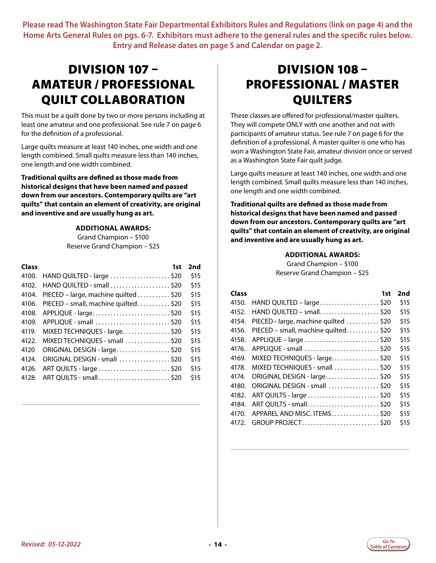### <span id="page-13-0"></span>DIVISION 107 – AMATEUR / PROFESSIONAL QUILT COLLABORATION

This must be a quilt done by two or more persons including at least one amateur and one professional. See rule 7 on page 6 for the definition of a professional.

Large quilts measure at least 140 inches, one width and one length combined. Small quilts measure less than 140 inches, one length and one width combined.

**Traditional quilts are defined as those made from historical designs that have been named and passed down from our ancestors. Contemporary quilts are "art quilts" that contain an element of creativity, are original and inventive and are usually hung as art.**

#### **ADDITIONAL AWARDS:**

Grand Champion – \$100 Reserve Grand Champion – \$25

| Class | 1st                                       | 2nd  |
|-------|-------------------------------------------|------|
| 4100. | HAND QUILTED - large \$20                 | \$15 |
| 4102. | HAND QUILTED - small \$20                 | \$15 |
|       | 4104. PIECED - large, machine quilted\$20 | \$15 |
|       | 4106. PIECED - small, machine quilted\$20 | \$15 |
| 4108. | APPLIQUE - large\$20                      | \$15 |
| 4109. | APPLIQUE - small \$20                     | \$15 |
| 4119. | MIXED TECHNIQUES - large\$20              | \$15 |
|       | 4122. MIXED TECHNIQUES - small \$20       | \$15 |
| 4120  | ORIGINAL DESIGN - large\$20               | \$15 |
| 4124. | ORIGINAL DESIGN - small \$20              | \$15 |
| 4126. | ART QUILTS - large \$20                   | \$15 |
| 4128. | ART QUILTS - small\$20                    | \$15 |

\_\_\_\_\_\_\_\_\_\_\_\_\_\_\_\_\_\_\_\_\_\_\_\_\_\_\_\_\_\_\_\_\_\_\_\_\_\_\_\_\_\_\_\_\_\_\_\_\_\_\_\_\_\_\_\_\_\_\_\_\_\_\_\_

### DIVISION 108 – PROFESSIONAL / MASTER QUILTERS

These classes are offered for professional/master quilters. They will compete ONLY with one another and not with participants of amateur status. See rule 7 on page 6 for the definition of a professional. A master quilter is one who has won a Washington State Fair, amateur division once or served as a Washington State Fair quilt judge.

Large quilts measure at least 140 inches, one width and one length combined. Small quilts measure less than 140 inches, one length and one width combined.

**Traditional quilts are defined as those made from historical designs that have been named and passed down from our ancestors. Contemporary quilts are "art quilts" that contain an element of creativity, are original and inventive and are usually hung as art.**

#### **ADDITIONAL AWARDS:**

Grand Champion – \$100 Reserve Grand Champion – \$25

| <b>Class</b> | 1st                                 | 2nd  |
|--------------|-------------------------------------|------|
| 4150.        | HAND QUILTED - large\$20            | \$15 |
| 4152.        | HAND QUILTED - small\$20            | \$15 |
| 4154.        | PIECED-large, machine quilted \$20  | \$15 |
| 4156.        | PIECED - small, machine quilted\$20 | \$15 |
| 4158.        |                                     | \$15 |
| 4176.        | APPLIQUE - small \$20               | \$15 |
| 4169.        | MIXED TECHNIQUES - large\$20        | \$15 |
| 4178.        | MIXED TECHNIQUES - small \$20       | \$15 |
| 4174.        | ORIGINAL DESIGN - large\$20         | \$15 |
| 4180.        | ORIGINAL DESIGN - small \$20        | \$15 |
| 4182.        |                                     | \$15 |
| 4184.        | ART QUILTS - small\$20              | \$15 |
| 4170.        | APPAREL AND MISC. ITEMS\$20         | \$15 |
| 4172.        | GROUP PROJECT\$20                   | \$15 |

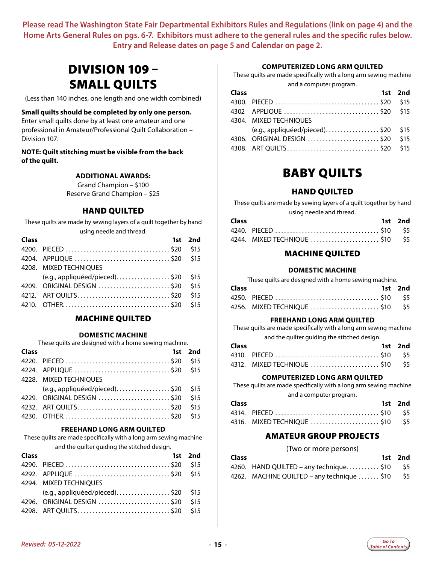### <span id="page-14-0"></span>DIVISION 109 – SMALL QUILTS

(Less than 140 inches, one length and one width combined)

#### **Small quilts should be completed by only one person.**

Enter small quilts done by at least one amateur and one professional in Amateur/Professional Quilt Collaboration – Division 107.

#### **NOTE: Quilt stitching must be visible from the back of the quilt.**

#### **ADDITIONAL AWARDS:**

Grand Champion – \$100 Reserve Grand Champion – \$25

#### HAND QUILTED

These quilts are made by sewing layers of a quilt together by hand using needle and thread.

| Class |                                 | 1st 2nd |
|-------|---------------------------------|---------|
|       |                                 | \$15    |
|       |                                 |         |
|       | 4208. MIXED TECHNIOUES          |         |
|       | $(e.g., applied/pieceed).$ \$20 | \$15    |
|       | 4209. ORIGINAL DESIGN \$20      | \$15    |
|       |                                 | \$15    |
|       |                                 | \$15    |

#### MACHINE QUILTED

#### **DOMESTIC MACHINE**

These quilts are designed with a home sewing machine.

| Class |                                      | 1st 2nd |
|-------|--------------------------------------|---------|
|       |                                      | \$15    |
|       | 4224. APPLIQUE \$20 \$15             |         |
|       | 4228. MIXED TECHNIOUES               |         |
|       | $(e.g., applied/pieceed).$ \$20 \$15 |         |
|       | 4229. ORIGINAL DESIGN \$20           | \$15    |
|       |                                      | \$15    |
|       |                                      | \$15    |

#### **FREEHAND LONG ARM QUILTED**

These quilts are made specifically with a long arm sewing machine

and the quilter guiding the stitched design.

| <b>Class</b> |                                    | 1st 2nd |
|--------------|------------------------------------|---------|
|              |                                    |         |
|              |                                    |         |
|              | 4294. MIXED TECHNIQUES             |         |
|              | $(e.g., applied/pieced)$ \$20 \$15 |         |
|              | 4296. ORIGINAL DESIGN  \$20 \$15   |         |
|              |                                    |         |

#### **COMPUTERIZED LONG ARM QUILTED**

These quilts are made specifically with a long arm sewing machine and a computer program.

| <b>Class</b> |                                      | 1st 2nd |
|--------------|--------------------------------------|---------|
|              |                                      |         |
|              | 4302 APPLIQUE \$20 \$15              |         |
|              | 4304. MIXED TECHNIOUES               |         |
|              | $(e.g., applied/pieceed).$ \$20 \$15 |         |
|              | 4306. ORIGINAL DESIGN  \$20 \$15     |         |
|              |                                      |         |

### BABY QUILTS

#### HAND QUILTED

These quilts are made by sewing layers of a quilt together by hand

|              | using needle and thread. |         |
|--------------|--------------------------|---------|
| <b>Class</b> |                          | 1st 2nd |
|              |                          |         |
|              |                          |         |

#### MACHINE QUILTED

#### **DOMESTIC MACHINE**

| These quilts are designed with a home sewing machine. |  |  |  |
|-------------------------------------------------------|--|--|--|
|-------------------------------------------------------|--|--|--|

| <b>Class</b> |                                | 1st 2nd |
|--------------|--------------------------------|---------|
|              |                                |         |
|              | 4256. MIXED TECHNIQUE \$10 \$5 |         |

#### **FREEHAND LONG ARM QUILTED**

These quilts are made specifically with a long arm sewing machine

|              | and the quilter guiding the stitched design. |         |
|--------------|----------------------------------------------|---------|
| <b>Class</b> |                                              | 1st 2nd |
|              |                                              |         |
|              | 4312. MIXED TECHNIQUE \$10 \$5               |         |

#### **COMPUTERIZED LONG ARM QUILTED**

These quilts are made specifically with a long arm sewing machine and a computer program.

| <b>Class</b> |                                | 1st 2nd |
|--------------|--------------------------------|---------|
|              |                                |         |
|              | 4316. MIXED TECHNIQUE \$10 \$5 |         |

#### AMATEUR GROUP PROJECTS

(Two or more persons)

| <b>Class</b> |                                                 | 1st 2nd |
|--------------|-------------------------------------------------|---------|
|              | 4260. HAND QUILTED – any technique\$10 \$5      |         |
|              | 4262. MACHINE QUILTED – any technique  \$10 \$5 |         |

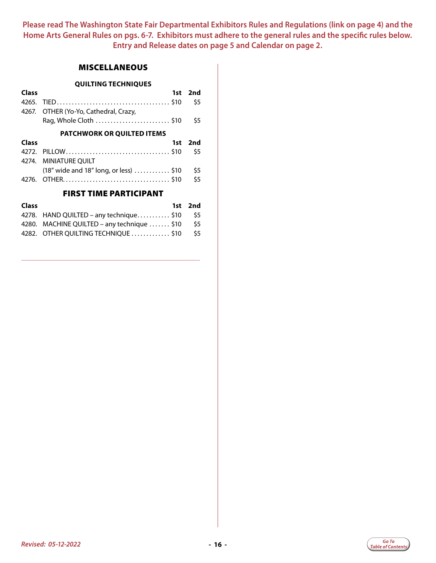#### **MISCELLANEOUS**

|              | <b>QUILTING TECHNIQUES</b>             |     |
|--------------|----------------------------------------|-----|
| Class        | 1st                                    | 2nd |
| 4265.        |                                        | \$5 |
|              | 4267. OTHER (Yo-Yo, Cathedral, Crazy,  |     |
|              | Rag, Whole Cloth \$10                  | \$5 |
|              | <b>PATCHWORK OR QUILTED ITEMS</b>      |     |
|              |                                        |     |
| <b>Class</b> | 1st                                    | 2nd |
| 4272.        |                                        | \$5 |
|              | 4274. MINIATURE OUILT                  |     |
|              | (18" wide and 18" long, or less)  \$10 | \$5 |
|              |                                        | \$5 |

#### FIRST TIME PARTICIPANT

| 1st 2nd                                                                                                                      |
|------------------------------------------------------------------------------------------------------------------------------|
| - S5                                                                                                                         |
| \$5                                                                                                                          |
| \$5                                                                                                                          |
| 4278. HAND QUILTED – any technique\$10<br>4280. MACHINE QUILTED - any technique  \$10<br>4282. OTHER QUILTING TECHNIQUE \$10 |

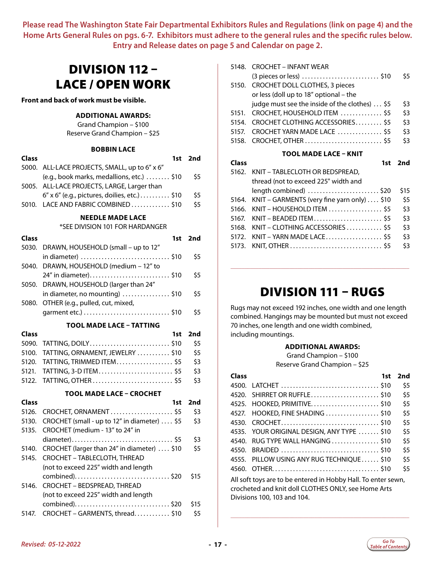### <span id="page-16-0"></span>DIVISION 112 – LACE / OPEN WORK

**Front and back of work must be visible.**

#### **ADDITIONAL AWARDS:**

Grand Champion – \$100 Reserve Grand Champion – \$25

#### **BOBBIN LACE**

| <b>Class</b> |                                               | $1st$ 2nd |
|--------------|-----------------------------------------------|-----------|
|              | 5000. ALL-LACE PROJECTS, SMALL, up to 6" x 6" |           |
|              | (e.g., book marks, medallions, etc.)  \$10    | \$5       |
|              | 5005. ALL-LACE PROJECTS, LARGE, Larger than   |           |
|              |                                               | \$5       |
|              | 5010. LACE AND FABRIC COMBINED \$10           | \$5.      |
|              |                                               |           |

#### **NEEDLE MADE LACE**

#### \*SEE DIVISION 101 FOR HARDANGER

| Class        | 1st                                          | 2nd  |
|--------------|----------------------------------------------|------|
| 5030.        | DRAWN, HOUSEHOLD (small - up to 12"          |      |
|              |                                              | \$5  |
| 5040.        | DRAWN, HOUSEHOLD (medium - 12" to            |      |
|              | 24" in diameter)<br>. \$10                   | \$5  |
| 5050.        | DRAWN, HOUSEHOLD (larger than 24"            |      |
|              | in diameter, no mounting) $\ldots$ \$10      | \$5  |
| 5080.        | OTHER (e.g., pulled, cut, mixed,             |      |
|              |                                              | \$5  |
|              | <b>TOOL MADE LACE - TATTING</b>              |      |
| <b>Class</b> | 1st                                          | 2nd  |
| 5090.        | TATTING, DOILY\$10                           | \$5  |
| 5100.        | TATTING, ORNAMENT, JEWELRY  \$10             | \$5  |
| 5120.        | TATTING, TRIMMED ITEM\$5                     | \$3  |
| 5121.        | TATTING, 3-D ITEM\$5                         | \$3  |
| 5122.        |                                              | \$3  |
|              | <b>TOOL MADE LACE - CROCHET</b>              |      |
| Class        | 1st                                          | 2nd  |
| 5126.        | CROCHET, ORNAMENT\$5                         | \$3  |
| 5130.        | CROCHET (small - up to 12" in diameter)  \$5 | \$3  |
| 5135.        | CROCHET (medium - 13" to 24" in              |      |
|              |                                              | \$3  |
| 5140.        | CROCHET (larger than 24" in diameter)  \$10  | \$5  |
| 5145.        | CROCHET - TABLECLOTH, THREAD                 |      |
|              | (not to exceed 225" width and length         |      |
|              | combined)\$20                                | \$15 |
| 5146.        | CROCHET - BEDSPREAD, THREAD                  |      |
|              | (not to exceed 225" width and length         |      |
|              |                                              | \$15 |
| 5147.        | CROCHET - GARMENTS, thread\$10               | \$5  |
|              |                                              |      |

| 5148. | CROCHET – INFANT WEAR                                            |      |
|-------|------------------------------------------------------------------|------|
|       |                                                                  | \$5  |
| 5150. | CROCHET DOLL CLOTHES, 3 pieces                                   |      |
|       | or less (doll up to 18" optional - the                           |      |
|       | judge must see the inside of the clothes)  \$5                   | \$3  |
| 5151. | CROCHET, HOUSEHOLD ITEM \$5                                      | \$3  |
| 5154. | CROCHET CLOTHING ACCESSORIES \$5                                 | \$3  |
| 5157. | CROCHET YARN MADE LACE \$5                                       | \$3  |
| 5158. |                                                                  | \$3  |
|       | TOOL MADE LACE - KNIT                                            |      |
|       |                                                                  |      |
| Class | 1st                                                              | 2nd  |
| 5162. | KNIT - TABLECLOTH OR BEDSPREAD,                                  |      |
|       | thread (not to exceed 225" width and                             |      |
|       | $length combined)$ \$20                                          | \$15 |
| 5164. | KNIT – GARMENTS (very fine yarn only) $\dots$ \$10               | \$5  |
| 5166. | $KNIT - HOUSEHOLD ITEM$ \$5                                      | \$3  |
| 5167. | $KNIT - BEADED ITEM \ldots \ldots \ldots \ldots \ldots \ldots \$ | \$3  |
| 5168. | KNIT - CLOTHING ACCESSORIES  \$5                                 | \$3  |
| 5172. |                                                                  | \$3  |
| 5173. |                                                                  | \$3  |

### DIVISION 111 – RUGS

\_\_\_\_\_\_\_\_\_\_\_\_\_\_\_\_\_\_\_\_\_\_\_\_\_\_\_\_\_\_\_\_\_\_\_\_\_\_\_\_\_\_\_\_\_\_\_\_\_\_\_\_\_\_\_\_\_\_\_\_\_\_\_\_

Rugs may not exceed 192 inches, one width and one length combined. Hangings may be mounted but must not exceed 70 inches, one length and one width combined, including mountings.

#### **ADDITIONAL AWARDS:**

Grand Champion – \$100 Reserve Grand Champion – \$25

| Class |                                                                                                                                                     | 1st | 2nd |
|-------|-----------------------------------------------------------------------------------------------------------------------------------------------------|-----|-----|
| 4500. | LATCHET \$10                                                                                                                                        |     | \$5 |
| 4520. | SHIRRET OR RUFFLE\$10                                                                                                                               |     | \$5 |
| 4525. |                                                                                                                                                     |     | \$5 |
| 4527. | HOOKED, FINE SHADING \$10                                                                                                                           |     | \$5 |
| 4530. |                                                                                                                                                     |     | \$5 |
| 4535. | YOUR ORIGINAL DESIGN, ANY TYPE  \$10                                                                                                                |     | \$5 |
| 4540. | RUG TYPE WALL HANGING \$10                                                                                                                          |     | \$5 |
| 4550. |                                                                                                                                                     |     | \$5 |
| 4555. | PILLOW USING ANY RUG TECHNIOUE \$10                                                                                                                 |     | \$5 |
| 4560. |                                                                                                                                                     |     | \$5 |
|       | All soft toys are to be entered in Hobby Hall. To enter sewn,<br>crocheted and knit doll CLOTHES ONLY, see Home Arts<br>Divisions 100, 103 and 104. |     |     |

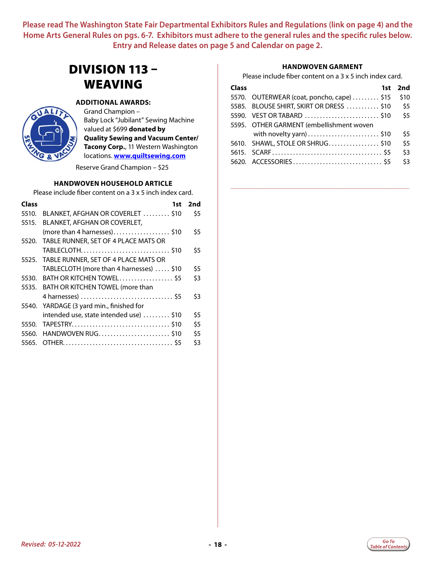### <span id="page-17-0"></span>DIVISION 113 – WEAVING



#### **ADDITIONAL AWARDS:**

Grand Champion – Baby Lock "Jubilant" Sewing Machine valued at \$699 **donated by Quality Sewing and Vacuum Center/ Tacony Corp.**, 11 Western Washington locations. **www.quiltsewing.com**

Reserve Grand Champion – \$25

#### **HANDWOVEN HOUSEHOLD ARTICLE**

Please include fiber content on a 3 x 5 inch index card.

| <b>Class</b> | 1st                                        | 2nd |
|--------------|--------------------------------------------|-----|
| 5510.        | BLANKET, AFGHAN OR COVERLET  \$10          | \$5 |
| 5515.        | BLANKET, AFGHAN OR COVERLET,               |     |
|              | (more than 4 harnesses)\$10                | \$5 |
|              | 5520. TABLE RUNNER, SET OF 4 PLACE MATS OR |     |
|              | TABLECLOTH\$10                             | \$5 |
|              | 5525. TABLE RUNNER, SET OF 4 PLACE MATS OR |     |
|              | TABLECLOTH (more than 4 harnesses)  \$10   | \$5 |
|              | 5530. BATH OR KITCHEN TOWEL\$5             | \$3 |
|              | 5535. BATH OR KITCHEN TOWEL (more than     |     |
|              |                                            | \$3 |
|              | 5540. YARDAGE (3 yard min., finished for   |     |
|              | intended use, state intended use)  \$10    | \$5 |
| 5550.        |                                            | \$5 |
| 5560.        | HANDWOVEN RUG\$10                          | \$5 |
| 5565.        |                                            | \$3 |

#### **HANDWOVEN GARMENT**

Please include fiber content on a 3 x 5 inch index card.

| <b>Class</b> |                                            | 1st 2nd |
|--------------|--------------------------------------------|---------|
|              | 5570. OUTERWEAR (coat, poncho, cape)  \$15 | \$10    |
|              | 5585. BLOUSE SHIRT, SKIRT OR DRESS \$10    | \$5     |
|              |                                            | \$5     |
|              | 5595. OTHER GARMENT (embellishment woven   |         |
|              | with novelty yarn) \$10                    | \$5     |
|              | 5610. SHAWL, STOLE OR SHRUG\$10            | \$5     |
|              |                                            | \$3     |
|              |                                            | \$3     |

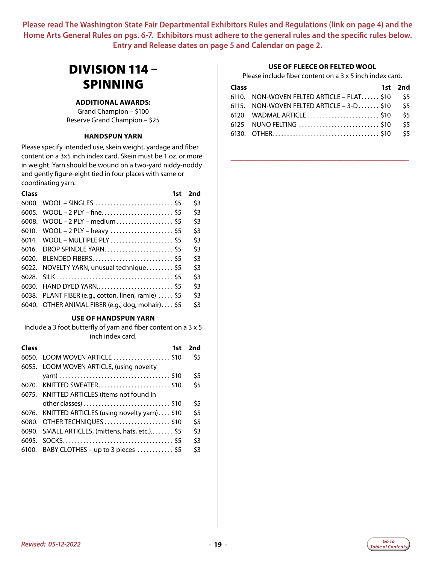### <span id="page-18-0"></span>DIVISION 114 – SPINNING

#### **ADDITIONAL AWARDS:**

Grand Champion – \$100 Reserve Grand Champion – \$25

#### **HANDSPUN YARN**

Please specify intended use, skein weight, yardage and fiber content on a 3x5 inch index card. Skein must be 1 oz. or more in weight. Yarn should be wound on a two-yard niddy-noddy and gently figure-eight tied in four places with same or coordinating yarn.

| Class | 1st                                                 | 2nd |
|-------|-----------------------------------------------------|-----|
|       |                                                     | \$3 |
|       | 6005. WOOL-2 PLY-fine\$5                            | \$3 |
|       | 6008. WOOL - 2 PLY - medium \$5                     | \$3 |
|       | 6010. WOOL - 2 PLY - heavy  \$5                     | \$3 |
|       | 6014. WOOL - MULTIPLE PLY  \$5                      | \$3 |
|       |                                                     | \$3 |
|       | 6020. BLENDED FIBERS \$5                            | \$3 |
|       | 6022. NOVELTY YARN, unusual technique\$5            | \$3 |
|       |                                                     | \$3 |
|       |                                                     | \$3 |
|       | 6038. PLANT FIBER (e.g., cotton, linen, ramie)  \$5 | \$3 |
|       | 6040. OTHER ANIMAL FIBER (e.g., dog, mohair) \$5    | \$3 |
|       |                                                     |     |

#### **USE OF HANDSPUN YARN**

Include a 3 foot butterfly of yarn and fiber content on a 3 x 5 inch index card.

| Class | 1st                                              | 2nd |
|-------|--------------------------------------------------|-----|
|       | 6050. LOOM WOVEN ARTICLE \$10                    | \$5 |
|       | 6055. LOOM WOVEN ARTICLE, (using novelty         |     |
|       |                                                  | \$5 |
|       | 6070. KNITTED SWEATER\$10                        | \$5 |
|       | 6075. KNITTED ARTICLES (items not found in       |     |
|       |                                                  | \$5 |
|       | 6076. KNITTED ARTICLES (using novelty yarn) \$10 | \$5 |
|       | 6080. OTHER TECHNIQUES \$10                      | \$5 |
|       | 6090. SMALL ARTICLES, (mittens, hats, etc.) \$5  | \$3 |
|       |                                                  | \$3 |
|       | 6100. BABY CLOTHES - up to 3 pieces  \$5         | \$3 |
|       |                                                  |     |

#### **USE OF FLEECE OR FELTED WOOL**

Please include fiber content on a 3 x 5 inch index card.

| <b>Class</b> |                                            | 1st 2nd |
|--------------|--------------------------------------------|---------|
|              | 6110. NON-WOVEN FELTED ARTICLE – FLAT \$10 | \$5     |
|              | 6115. NON-WOVEN FELTED ARTICLE $-3-D$ \$10 | \$5     |
|              |                                            | \$5     |
|              |                                            | \$5     |
|              |                                            | \$5     |